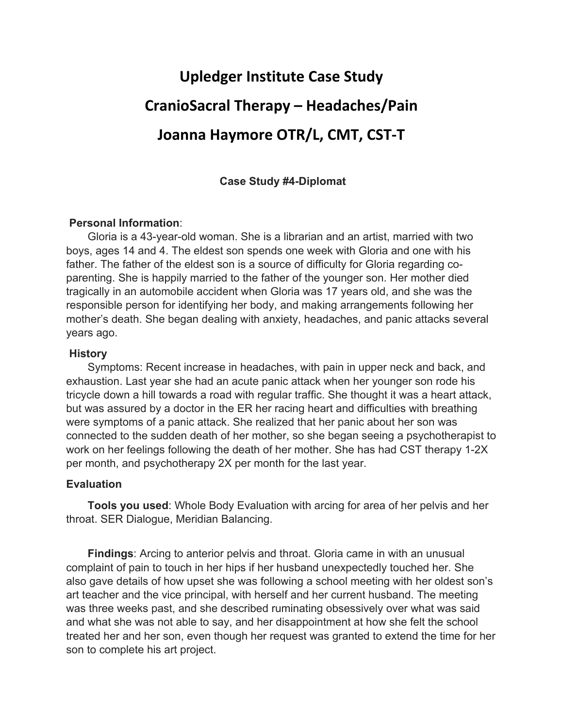# **Upledger Institute Case Study CranioSacral Therapy – Headaches/Pain Joanna Haymore OTR/L, CMT, CST‐T**

## **Case Study #4-Diplomat**

## **Personal Information**:

 Gloria is a 43-year-old woman. She is a librarian and an artist, married with two boys, ages 14 and 4. The eldest son spends one week with Gloria and one with his father. The father of the eldest son is a source of difficulty for Gloria regarding coparenting. She is happily married to the father of the younger son. Her mother died tragically in an automobile accident when Gloria was 17 years old, and she was the responsible person for identifying her body, and making arrangements following her mother's death. She began dealing with anxiety, headaches, and panic attacks several years ago.

### **History**

 Symptoms: Recent increase in headaches, with pain in upper neck and back, and exhaustion. Last year she had an acute panic attack when her younger son rode his tricycle down a hill towards a road with regular traffic. She thought it was a heart attack, but was assured by a doctor in the ER her racing heart and difficulties with breathing were symptoms of a panic attack. She realized that her panic about her son was connected to the sudden death of her mother, so she began seeing a psychotherapist to work on her feelings following the death of her mother. She has had CST therapy 1-2X per month, and psychotherapy 2X per month for the last year.

### **Evaluation**

 **Tools you used**: Whole Body Evaluation with arcing for area of her pelvis and her throat. SER Dialogue, Meridian Balancing.

 **Findings**: Arcing to anterior pelvis and throat. Gloria came in with an unusual complaint of pain to touch in her hips if her husband unexpectedly touched her. She also gave details of how upset she was following a school meeting with her oldest son's art teacher and the vice principal, with herself and her current husband. The meeting was three weeks past, and she described ruminating obsessively over what was said and what she was not able to say, and her disappointment at how she felt the school treated her and her son, even though her request was granted to extend the time for her son to complete his art project.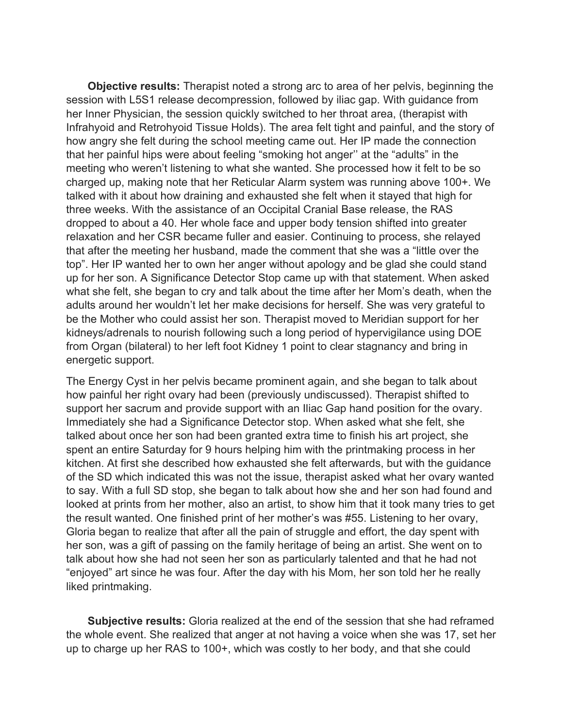**Objective results:** Therapist noted a strong arc to area of her pelvis, beginning the session with L5S1 release decompression, followed by iliac gap. With guidance from her Inner Physician, the session quickly switched to her throat area, (therapist with Infrahyoid and Retrohyoid Tissue Holds). The area felt tight and painful, and the story of how angry she felt during the school meeting came out. Her IP made the connection that her painful hips were about feeling "smoking hot anger'' at the "adults" in the meeting who weren't listening to what she wanted. She processed how it felt to be so charged up, making note that her Reticular Alarm system was running above 100+. We talked with it about how draining and exhausted she felt when it stayed that high for three weeks. With the assistance of an Occipital Cranial Base release, the RAS dropped to about a 40. Her whole face and upper body tension shifted into greater relaxation and her CSR became fuller and easier. Continuing to process, she relayed that after the meeting her husband, made the comment that she was a "little over the top". Her IP wanted her to own her anger without apology and be glad she could stand up for her son. A Significance Detector Stop came up with that statement. When asked what she felt, she began to cry and talk about the time after her Mom's death, when the adults around her wouldn't let her make decisions for herself. She was very grateful to be the Mother who could assist her son. Therapist moved to Meridian support for her kidneys/adrenals to nourish following such a long period of hypervigilance using DOE from Organ (bilateral) to her left foot Kidney 1 point to clear stagnancy and bring in energetic support.

The Energy Cyst in her pelvis became prominent again, and she began to talk about how painful her right ovary had been (previously undiscussed). Therapist shifted to support her sacrum and provide support with an Iliac Gap hand position for the ovary. Immediately she had a Significance Detector stop. When asked what she felt, she talked about once her son had been granted extra time to finish his art project, she spent an entire Saturday for 9 hours helping him with the printmaking process in her kitchen. At first she described how exhausted she felt afterwards, but with the guidance of the SD which indicated this was not the issue, therapist asked what her ovary wanted to say. With a full SD stop, she began to talk about how she and her son had found and looked at prints from her mother, also an artist, to show him that it took many tries to get the result wanted. One finished print of her mother's was #55. Listening to her ovary, Gloria began to realize that after all the pain of struggle and effort, the day spent with her son, was a gift of passing on the family heritage of being an artist. She went on to talk about how she had not seen her son as particularly talented and that he had not "enjoyed" art since he was four. After the day with his Mom, her son told her he really liked printmaking.

 **Subjective results:** Gloria realized at the end of the session that she had reframed the whole event. She realized that anger at not having a voice when she was 17, set her up to charge up her RAS to 100+, which was costly to her body, and that she could